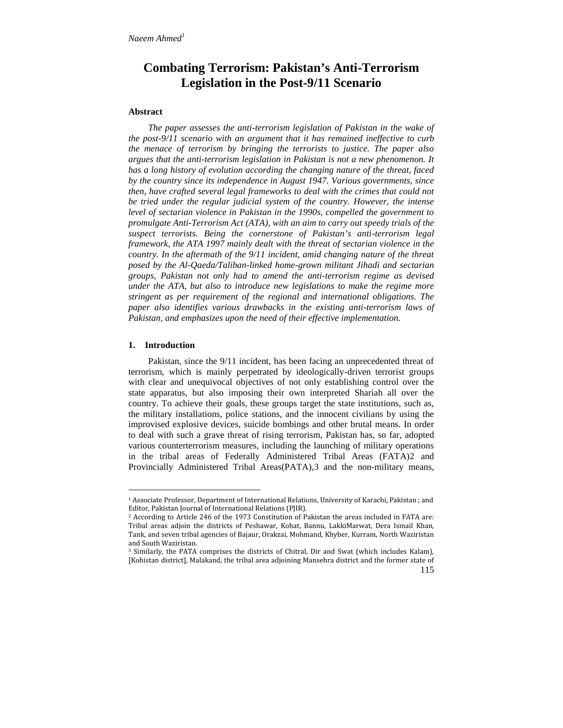# **Combating Terrorism: Pakistan's Anti-Terrorism Legislation in the Post-9/11 Scenario**

## **Abstract**

*The paper assesses the anti-terrorism legislation of Pakistan in the wake of the post-9/11 scenario with an argument that it has remained ineffective to curb the menace of terrorism by bringing the terrorists to justice. The paper also argues that the anti-terrorism legislation in Pakistan is not a new phenomenon. It has a long history of evolution according the changing nature of the threat, faced by the country since its independence in August 1947. Various governments, since then, have crafted several legal frameworks to deal with the crimes that could not be tried under the regular judicial system of the country. However, the intense level of sectarian violence in Pakistan in the 1990s, compelled the government to promulgate Anti-Terrorism Act (ATA), with an aim to carry out speedy trials of the suspect terrorists. Being the cornerstone of Pakistan's anti-terrorism legal framework, the ATA 1997 mainly dealt with the threat of sectarian violence in the country. In the aftermath of the 9/11 incident, amid changing nature of the threat posed by the Al-Qaeda/Taliban-linked home-grown militant Jihadi and sectarian groups, Pakistan not only had to amend the anti-terrorism regime as devised under the ATA, but also to introduce new legislations to make the regime more stringent as per requirement of the regional and international obligations. The paper also identifies various drawbacks in the existing anti-terrorism laws of Pakistan, and emphasizes upon the need of their effective implementation.*

### **1. Introduction**

Pakistan, since the 9/11 incident, has been facing an unprecedented threat of terrorism, which is mainly perpetrated by ideologically-driven terrorist groups with clear and unequivocal objectives of not only establishing control over the state apparatus, but also imposing their own interpreted Shariah all over the country. To achieve their goals, these groups target the state institutions, such as, the military installations, police stations, and the innocent civilians by using the improvised explosive devices, suicide bombings and other brutal means. In order to deal with such a grave threat of rising terrorism, Pakistan has, so far, adopted various counterterrorism measures, including the launching of military operations in the tribal areas of Federally Administered Tribal Areas (FATA)2 and Provincially Administered Tribal Areas(PATA),3 and the non-military means,

<sup>1</sup> Associate Professor, Department of International Relations, University of Karachi, Pakistan ; and Editor, Pakistan Journal of International Relations (PJIR).

<sup>2</sup> According to Article 246 of the 1973 Constitution of Pakistan the areas included in FATA are: Tribal areas adjoin the districts of Peshawar, Kohat, Bannu, LakkiMarwat, Dera Ismail Khan, Tank, and seven tribal agencies of Bajaur, Orakzai, Mohmand, Khyber, Kurram, North Waziristan and South Waziristan.

<sup>3</sup> Similarly, the PATA comprises the districts of Chitral, Dir and Swat (which includes Kalam), [Kohistan district], Malakand, the tribal area adjoining Mansehra district and the former state of

<sup>115</sup>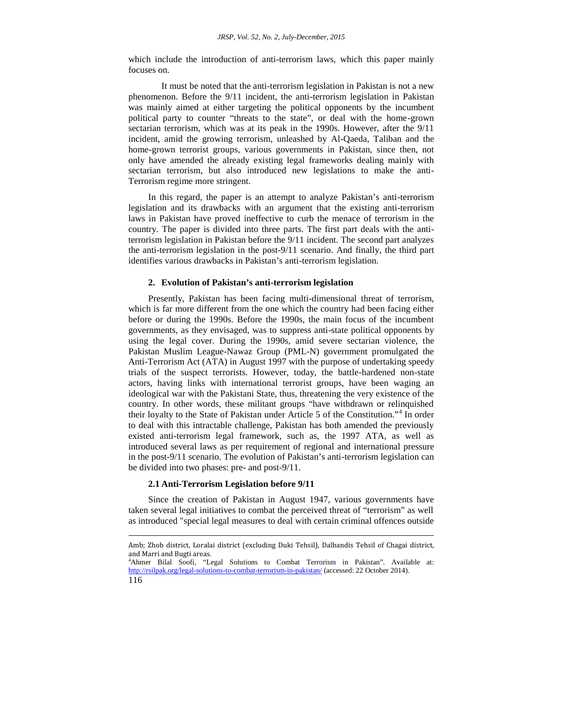which include the introduction of anti-terrorism laws, which this paper mainly focuses on.

It must be noted that the anti-terrorism legislation in Pakistan is not a new phenomenon. Before the 9/11 incident, the anti-terrorism legislation in Pakistan was mainly aimed at either targeting the political opponents by the incumbent political party to counter "threats to the state", or deal with the home-grown sectarian terrorism, which was at its peak in the 1990s. However, after the 9/11 incident, amid the growing terrorism, unleashed by Al-Qaeda, Taliban and the home-grown terrorist groups, various governments in Pakistan, since then, not only have amended the already existing legal frameworks dealing mainly with sectarian terrorism, but also introduced new legislations to make the anti- Terrorism regime more stringent.

In this regard, the paper is an attempt to analyze Pakistan's anti-terrorism legislation and its drawbacks with an argument that the existing anti-terrorism laws in Pakistan have proved ineffective to curb the menace of terrorism in the country. The paper is divided into three parts. The first part deals with the antiterrorism legislation in Pakistan before the 9/11 incident. The second part analyzes the anti-terrorism legislation in the post-9/11 scenario. And finally, the third part identifies various drawbacks in Pakistan's anti-terrorism legislation.

## **2. Evolution of Pakistan's anti-terrorism legislation**

Presently, Pakistan has been facing multi-dimensional threat of terrorism, which is far more different from the one which the country had been facing either before or during the 1990s. Before the 1990s, the main focus of the incumbent governments, as they envisaged, was to suppress anti-state political opponents by using the legal cover. During the 1990s, amid severe sectarian violence, the Pakistan Muslim League-Nawaz Group (PML-N) government promulgated the Anti-Terrorism Act (ATA) in August 1997 with the purpose of undertaking speedy trials of the suspect terrorists. However, today, the battle-hardened non-state actors, having links with international terrorist groups, have been waging an ideological war with the Pakistani State, thus, threatening the very existence of the country. In other words, these militant groups "have withdrawn or relinquished their loyalty to the State of Pakistan under Article 5 of the Constitution."<sup>4</sup> In order to deal with this intractable challenge, Pakistan has both amended the previously existed anti-terrorism legal framework, such as, the 1997 ATA, as well as introduced several laws as per requirement of regional and international pressure in the post-9/11 scenario. The evolution of Pakistan's anti-terrorism legislation can be divided into two phases: pre- and post-9/11.

#### **2.1 Anti-Terrorism Legislation before 9/11**

Since the creation of Pakistan in August 1947, various governments have taken several legal initiatives to combat the perceived threat of "terrorism" as well as introduced "special legal measures to deal with certain criminal offences outside

<sup>&</sup>lt;sup>4</sup>Ahmer Bilal Soofi, "Legal Solutions to Combat Terrorism in Pakistan". Available at: http://rsilpak.org/legal-solutions-to-combat-terrorism-in-pakistan/ (accessed: 22 October 2014).



Amb; Zhob district, Loralai district (excluding Duki Tehsil), Dalbandis Tehsil of Chagai district,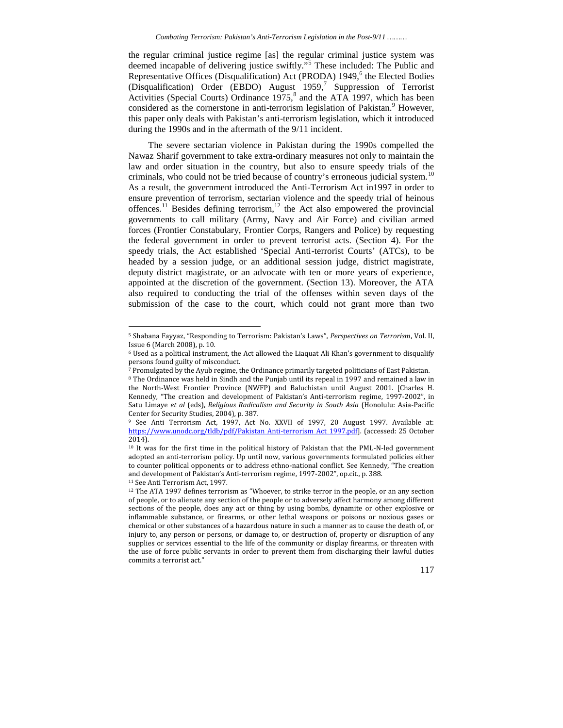the regular criminal justice regime [as] the regular criminal justice system was deemed incapable of delivering justice swiftly."<sup>5</sup> These included: The Public and Representative Offices (Disqualification) Act (PRODA) 1949,<sup>6</sup> the Elected Bodies (Disqualification) Order (EBDO) August 1959,<sup>7</sup> Suppression of Terrorist Activities (Special Courts) Ordinance  $1975$ ,<sup>8</sup> and the ATA 1997, which has been considered as the cornerstone in anti-terrorism legislation of Pakistan.<sup>9</sup> However, this paper only deals with Pakistan's anti-terrorism legislation, which it introduced during the 1990s and in the aftermath of the 9/11 incident.

The severe sectarian violence in Pakistan during the 1990s compelled the Nawaz Sharif government to take extra-ordinary measures not only to maintain the law and order situation in the country, but also to ensure speedy trials of the criminals, who could not be tried because of country's erroneous judicial system.<sup>10</sup> As a result, the government introduced the Anti-Terrorism Act in1997 in order to ensure prevention of terrorism, sectarian violence and the speedy trial of heinous offences.<sup>11</sup> Besides defining terrorism,<sup>12</sup> the Act also empowered the provincial governments to call military (Army, Navy and Air Force) and civilian armed forces (Frontier Constabulary, Frontier Corps, Rangers and Police) by requesting the federal government in order to prevent terrorist acts. (Section 4). For the speedy trials, the Act established 'Special Anti-terrorist Courts' (ATCs), to be headed by a session judge, or an additional session judge, district magistrate, deputy district magistrate, or an advocate with ten or more years of experience, appointed at the discretion of the government. (Section 13). Moreover, the ATA also required to conducting the trial of the offenses within seven days of the submission of the case to the court, which could not grant more than two

<sup>5</sup> Shabana Fayyaz, "Responding to Terrorism: Pakistan's Laws", *Perspectives on Terrorism*, Vol. II, Issue 6 (March 2008), p. 10.

<sup>6</sup> Used as a political instrument, the Act allowed the Liaquat Ali Khan's government to disqualify persons found guilty of misconduct.

<sup>7</sup> Promulgated by the Ayub regime, the Ordinance primarily targeted politicians of East Pakistan. <sup>8</sup> The Ordinance was held in Sindh and the Punjab until its repeal in 1997 and remained a law in the North-West Frontier Province (NWFP) and Baluchistan until August 2001. [Charles H. Kennedy, "The creation and development of Pakistan's Anti-terrorism regime, 1997-2002", in Satu Limaye *et al* (eds), *Religious Radicalism and Security in South Asia* (Honolulu: Asia-Pacific Center for Security Studies, 2004), p. 387.

<sup>9</sup> See Anti Terrorism Act, 1997, Act No. XXVII of 1997, 20 August 1997. Available at: https://www.unodc.org/tldb/pdf/Pakistan\_Anti-terrorism\_Act\_1997.pdf]. (accessed: 25 October 2014).

<sup>&</sup>lt;sup>10</sup> It was for the first time in the political history of Pakistan that the PML-N-led government adopted an anti-terrorism policy. Up until now, various governments formulated policies either to counter political opponents or to address ethno-national conflict. See Kennedy, "The creation and development of Pakistan's Anti-terrorism regime, 1997-2002", op.cit., p. 388.

<sup>11</sup> See Anti Terrorism Act, 1997.

<sup>&</sup>lt;sup>12</sup> The ATA 1997 defines terrorism as "Whoever, to strike terror in the people, or an any section of people, or to alienate any section of the people or to adversely affect harmony among different sections of the people, does any act or thing by using bombs, dynamite or other explosive or inflammable substance, or firearms, or other lethal weapons or poisons or noxious gases or chemical or other substances of a hazardous nature in such a manner as to cause the death of, or injury to, any person or persons, or damage to, or destruction of, property or disruption of any supplies or services essential to the life of the community or display firearms, or threaten with the use of force public servants in order to prevent them from discharging their lawful duties commits a terrorist act."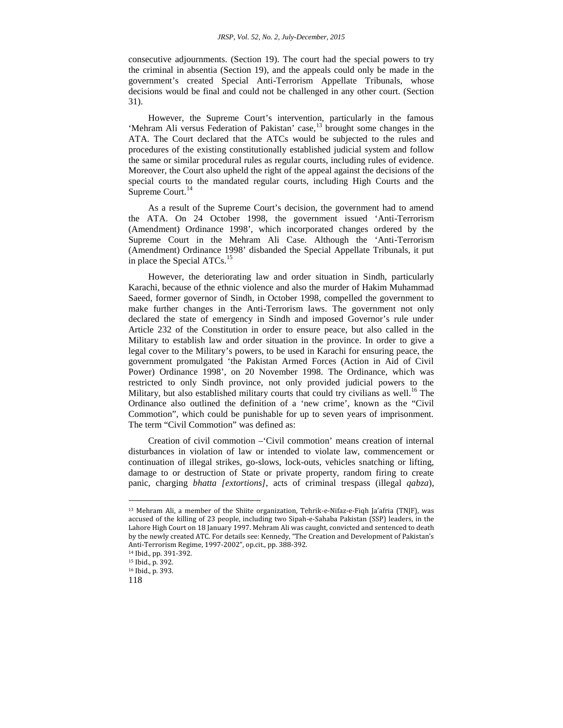consecutive adjournments. (Section 19). The court had the special powers to try the criminal in absentia (Section 19), and the appeals could only be made in the government's created Special Anti-Terrorism Appellate Tribunals, whose decisions would be final and could not be challenged in any other court. (Section 31).

However, the Supreme Court's intervention, particularly in the famous 'Mehram Ali versus Federation of Pakistan' case,<sup>13</sup> brought some changes in the ATA. The Court declared that the ATCs would be subjected to the rules and procedures of the existing constitutionally established judicial system and follow the same or similar procedural rules as regular courts, including rules of evidence. Moreover, the Court also upheld the right of the appeal against the decisions of the special courts to the mandated regular courts, including High Courts and the Supreme Court.<sup>14</sup>

As a result of the Supreme Court's decision, the government had to amend the ATA. On 24 October 1998, the government issued 'Anti-Terrorism (Amendment) Ordinance 1998', which incorporated changes ordered by the Supreme Court in the Mehram Ali Case. Although the 'Anti-Terrorism (Amendment) Ordinance 1998' disbanded the Special Appellate Tribunals, it put in place the Special ATCs.<sup>15</sup>

However, the deteriorating law and order situation in Sindh, particularly Karachi, because of the ethnic violence and also the murder of Hakim Muhammad Saeed, former governor of Sindh, in October 1998, compelled the government to make further changes in the Anti-Terrorism laws. The government not only declared the state of emergency in Sindh and imposed Governor's rule under Article 232 of the Constitution in order to ensure peace, but also called in the Military to establish law and order situation in the province. In order to give a legal cover to the Military's powers, to be used in Karachi for ensuring peace, the government promulgated 'the Pakistan Armed Forces (Action in Aid of Civil Power) Ordinance 1998', on 20 November 1998. The Ordinance, which was restricted to only Sindh province, not only provided judicial powers to the Military, but also established military courts that could try civilians as well.<sup>16</sup> The Ordinance also outlined the definition of a 'new crime', known as the "Civil Commotion", which could be punishable for up to seven years of imprisonment. The term "Civil Commotion" was defined as:

Creation of civil commotion –'Civil commotion' means creation of internal disturbances in violation of law or intended to violate law, commencement or continuation of illegal strikes, go-slows, lock-outs, vehicles snatching or lifting, damage to or destruction of State or private property, random firing to create panic, charging *bhatta [extortions]*, acts of criminal trespass (illegal *qabza*),

<sup>13</sup> Mehram Ali, a member of the Shiite organization, Tehrik-e-Nifaz-e-Fiqh Ja'afria (TNJF), was accused of the killing of 23 people, including two Sipah-e-Sahaba Pakistan (SSP) leaders, in the Lahore High Court on 18 January 1997. Mehram Ali was caught, convicted and sentenced to death by the newly created ATC. For details see: Kennedy, "The Creation and Development of Pakistan's Anti-Terrorism Regime, 1997-2002", op.cit., pp. 388-392.

<sup>14</sup> Ibid., pp. 391-392.

<sup>15</sup> Ibid., p. 392.

<sup>16</sup> Ibid., p. 393.

<sup>118</sup>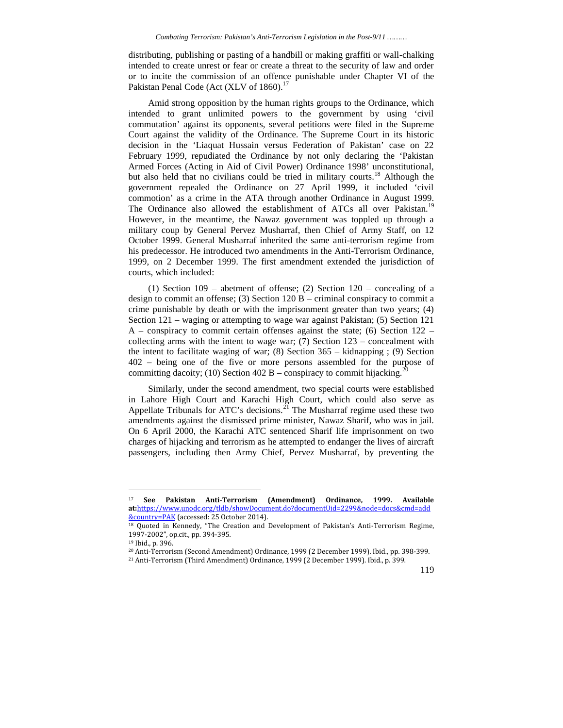distributing, publishing or pasting of a handbill or making graffiti or wall-chalking intended to create unrest or fear or create a threat to the security of law and order or to incite the commission of an offence punishable under Chapter VI of the Pakistan Penal Code (Act (XLV of 1860).<sup>17</sup>

Amid strong opposition by the human rights groups to the Ordinance, which intended to grant unlimited powers to the government by using 'civil commutation' against its opponents, several petitions were filed in the Supreme Court against the validity of the Ordinance. The Supreme Court in its historic decision in the 'Liaquat Hussain versus Federation of Pakistan' case on 22 February 1999, repudiated the Ordinance by not only declaring the 'Pakistan Armed Forces (Acting in Aid of Civil Power) Ordinance 1998' unconstitutional, but also held that no civilians could be tried in military courts.<sup>18</sup> Although the government repealed the Ordinance on 27 April 1999, it included 'civil commotion' as a crime in the ATA through another Ordinance in August 1999. The Ordinance also allowed the establishment of ATCs all over Pakistan.<sup>19</sup> However, in the meantime, the Nawaz government was toppled up through a military coup by General Pervez Musharraf, then Chief of Army Staff, on 12 October 1999. General Musharraf inherited the same anti-terrorism regime from his predecessor. He introduced two amendments in the Anti-Terrorism Ordinance, 1999, on 2 December 1999. The first amendment extended the jurisdiction of courts, which included:

(1) Section 109 – abetment of offense; (2) Section 120 – concealing of a design to commit an offense; (3) Section 120 B – criminal conspiracy to commit a crime punishable by death or with the imprisonment greater than two years; (4) Section 121 – waging or attempting to wage war against Pakistan; (5) Section 121  $A$  – conspiracy to commit certain offenses against the state; (6) Section 122 – collecting arms with the intent to wage war;  $(7)$  Section  $123$  – concealment with the intent to facilitate waging of war;  $(8)$  Section 365 – kidnapping;  $(9)$  Section 402 – being one of the five or more persons assembled for the purpose of committing dacoity; (10) Section 402 B – conspiracy to commit hijacking.<sup>2</sup>

Similarly, under the second amendment, two special courts were established in Lahore High Court and Karachi High Court, which could also serve as Appellate Tribunals for ATC's decisions.<sup>21</sup> The Musharraf regime used these two amendments against the dismissed prime minister, Nawaz Sharif, who was in jail. On 6 April 2000, the Karachi ATC sentenced Sharif life imprisonment on two charges of hijacking and terrorism as he attempted to endanger the lives of aircraft passengers, including then Army Chief, Pervez Musharraf, by preventing the

<sup>17</sup> **See Pakistan Anti-Terrorism (Amendment) Ordinance, 1999. Available at:**https://www.unodc.org/tldb/showDocument.do?documentUid=2299&node=docs&cmd=add &country=PAK (accessed: 25 October 2014).

<sup>18</sup> Quoted in Kennedy, "The Creation and Development of Pakistan's Anti-Terrorism Regime, 1997-2002", op.cit., pp. 394-395.

<sup>19</sup> Ibid., p. 396.

<sup>20</sup> Anti-Terrorism (Second Amendment) Ordinance, 1999 (2 December 1999). Ibid., pp. 398-399. <sup>21</sup> Anti-Terrorism (Third Amendment) Ordinance, 1999 (2 December 1999). Ibid., p. 399.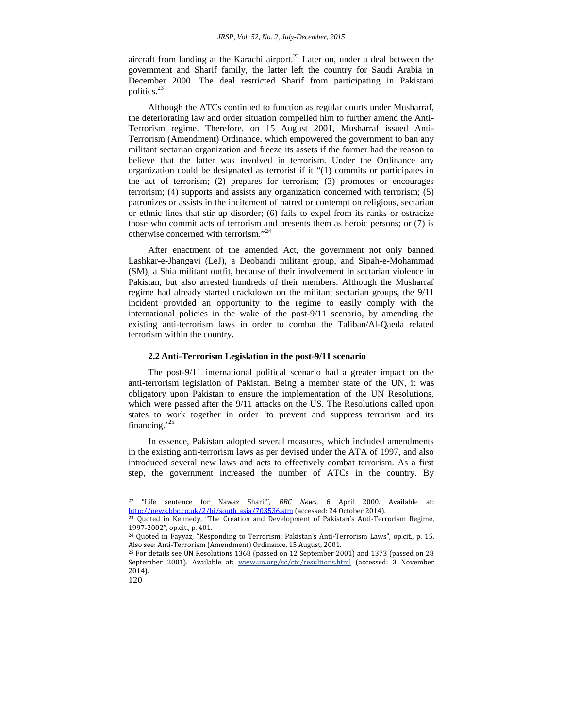aircraft from landing at the Karachi airport. $^{22}$  Later on, under a deal between the government and Sharif family, the latter left the country for Saudi Arabia in December 2000. The deal restricted Sharif from participating in Pakistani politics.<sup>23</sup>

Although the ATCs continued to function as regular courts under Musharraf, the deteriorating law and order situation compelled him to further amend the Anti- Terrorism regime. Therefore, on 15 August 2001, Musharraf issued Anti- Terrorism (Amendment) Ordinance, which empowered the government to ban any militant sectarian organization and freeze its assets if the former had the reason to believe that the latter was involved in terrorism. Under the Ordinance any organization could be designated as terrorist if it "(1) commits or participates in the act of terrorism; (2) prepares for terrorism; (3) promotes or encourages terrorism; (4) supports and assists any organization concerned with terrorism; (5) patronizes or assists in the incitement of hatred or contempt on religious, sectarian or ethnic lines that stir up disorder; (6) fails to expel from its ranks or ostracize those who commit acts of terrorism and presents them as heroic persons; or (7) is otherwise concerned with terrorism."<sup>24</sup>

After enactment of the amended Act, the government not only banned Lashkar-e-Jhangavi (LeJ), a Deobandi militant group, and Sipah-e-Mohammad (SM), a Shia militant outfit, because of their involvement in sectarian violence in Pakistan, but also arrested hundreds of their members. Although the Musharraf regime had already started crackdown on the militant sectarian groups, the 9/11 incident provided an opportunity to the regime to easily comply with the international policies in the wake of the post-9/11 scenario, by amending the existing anti-terrorism laws in order to combat the Taliban/Al-Qaeda related terrorism within the country.

### **2.2 Anti-Terrorism Legislation in the post-9/11 scenario**

The post-9/11 international political scenario had a greater impact on the anti-terrorism legislation of Pakistan. Being a member state of the UN, it was obligatory upon Pakistan to ensure the implementation of the UN Resolutions, which were passed after the 9/11 attacks on the US. The Resolutions called upon states to work together in order 'to prevent and suppress terrorism and its financing.'<sup>25</sup>

In essence, Pakistan adopted several measures, which included amendments in the existing anti-terrorism laws as per devised under the ATA of 1997, and also introduced several new laws and acts to effectively combat terrorism. As a first step, the government increased the number of ATCs in the country. By

<sup>&</sup>lt;sup>22</sup> "Life sentence for Nawaz Sharif", *BBC News*, 6 April 2000. Available at:<br>http://news.bbc.co.uk/2/hi/south\_asia/703536.stm (accessed: 24 October 2014).

<sup>&</sup>lt;sup>23</sup> Quoted in Kennedy, "The Creation and Development of Pakistan's Anti-Terrorism Regime, 1997-2002", op.cit., p. 401.

<sup>24</sup> Quoted in Fayyaz, "Responding to Terrorism: Pakistan's Anti-Terrorism Laws", op.cit., p. 15. Also see: Anti-Terrorism (Amendment) Ordinance, 15 August, 2001.

<sup>25</sup> For details see UN Resolutions 1368 (passed on 12 September 2001) and 1373 (passed on 28 September 2001). Available at: www.un.org/sc/ctc/resultions.html (accessed: 3 November 2014).

<sup>120</sup>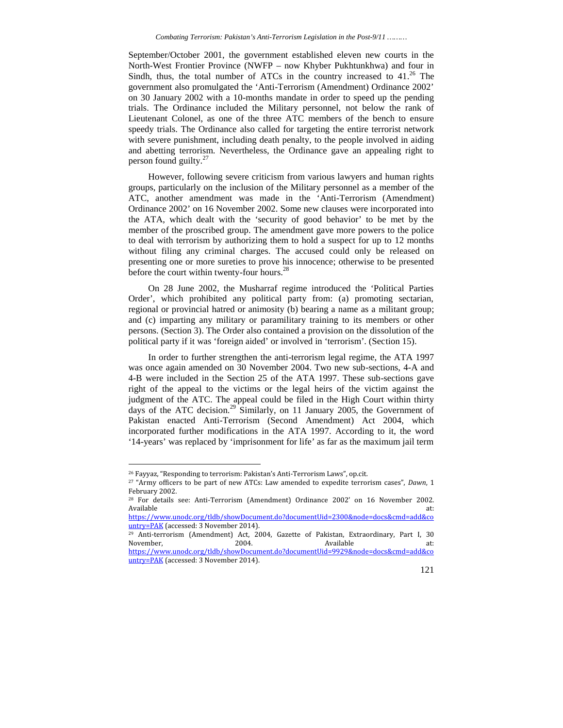September/October 2001, the government established eleven new courts in the North-West Frontier Province (NWFP – now Khyber Pukhtunkhwa) and four in Sindh, thus, the total number of ATCs in the country increased to  $41<sup>26</sup>$  The government also promulgated the 'Anti-Terrorism (Amendment) Ordinance 2002' on 30 January 2002 with a 10-months mandate in order to speed up the pending trials. The Ordinance included the Military personnel, not below the rank of Lieutenant Colonel, as one of the three ATC members of the bench to ensure speedy trials. The Ordinance also called for targeting the entire terrorist network with severe punishment, including death penalty, to the people involved in aiding and abetting terrorism. Nevertheless, the Ordinance gave an appealing right to person found guilty. $^{27}$ 

However, following severe criticism from various lawyers and human rights groups, particularly on the inclusion of the Military personnel as a member of the ATC, another amendment was made in the 'Anti-Terrorism (Amendment) Ordinance 2002' on 16 November 2002. Some new clauses were incorporated into the ATA, which dealt with the 'security of good behavior' to be met by the member of the proscribed group. The amendment gave more powers to the police to deal with terrorism by authorizing them to hold a suspect for up to 12 months without filing any criminal charges. The accused could only be released on presenting one or more sureties to prove his innocence; otherwise to be presented before the court within twenty-four hours.<sup>28</sup>

On 28 June 2002, the Musharraf regime introduced the 'Political Parties Order', which prohibited any political party from: (a) promoting sectarian, regional or provincial hatred or animosity (b) bearing a name as a militant group; and (c) imparting any military or paramilitary training to its members or other persons. (Section 3). The Order also contained a provision on the dissolution of the political party if it was 'foreign aided' or involved in 'terrorism'. (Section 15).

In order to further strengthen the anti-terrorism legal regime, the ATA 1997 was once again amended on 30 November 2004. Two new sub-sections, 4-A and 4-B were included in the Section 25 of the ATA 1997. These sub-sections gave right of the appeal to the victims or the legal heirs of the victim against the judgment of the ATC. The appeal could be filed in the High Court within thirty days of the ATC decision.<sup>29</sup> Similarly, on 11 January 2005, the Government of Pakistan enacted Anti-Terrorism (Second Amendment) Act 2004, which incorporated further modifications in the ATA 1997. According to it, the word '14-years' was replaced by 'imprisonment for life' as far as the maximum jail term

<sup>26</sup> Fayyaz, "Responding to terrorism: Pakistan's Anti-Terrorism Laws", op.cit.

<sup>27</sup> "Army officers to be part of new ATCs: Law amended to expedite terrorism cases", *Dawn*, 1 February 2002.

<sup>28</sup> For details see: Anti-Terrorism (Amendment) Ordinance 2002' on 16 November 2002. Available at:

https://www.unodc.org/tldb/showDocument.do?documentUid=2300&node=docs&cmd=add&co untry=PAK (accessed: 3 November 2014).

<sup>&</sup>lt;sup>29</sup> Anti-terrorism (Amendment) Act, 2004, Gazette of Pakistan, Extraordinary, Part I, 30<br>November, 2004. Available at: November, and the 2004. Available at: Available at: https://www.unodc.org/tldb/showDocument.do?documentUid=9929&node=docs&cmd=add&co untry=PAK (accessed: 3 November 2014).

<sup>121</sup>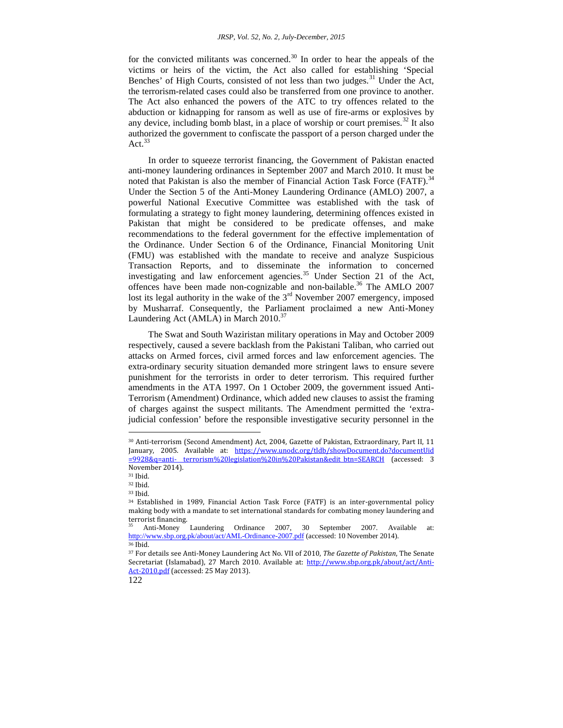for the convicted militants was concerned. $30$  In order to hear the appeals of the victims or heirs of the victim, the Act also called for establishing 'Special Benches' of High Courts, consisted of not less than two judges.<sup>31</sup> Under the Act, the terrorism-related cases could also be transferred from one province to another. The Act also enhanced the powers of the ATC to try offences related to the abduction or kidnapping for ransom as well as use of fire-arms or explosives by any device, including bomb blast, in a place of worship or court premises.<sup>32</sup> It also authorized the government to confiscate the passport of a person charged under the Act<sup>33</sup>

In order to squeeze terrorist financing, the Government of Pakistan enacted anti-money laundering ordinances in September 2007 and March 2010. It must be noted that Pakistan is also the member of Financial Action Task Force (FATF).<sup>34</sup> Under the Section 5 of the Anti-Money Laundering Ordinance (AMLO) 2007, a powerful National Executive Committee was established with the task of formulating a strategy to fight money laundering, determining offences existed in Pakistan that might be considered to be predicate offenses, and make recommendations to the federal government for the effective implementation of the Ordinance. Under Section 6 of the Ordinance, Financial Monitoring Unit (FMU) was established with the mandate to receive and analyze Suspicious Transaction Reports, and to disseminate the information to concerned investigating and law enforcement agencies.<sup>35</sup> Under Section 21 of the Act, offences have been made non-cognizable and non-bailable.<sup>36</sup> The AMLO 2007 lost its legal authority in the wake of the 3<sup>rd</sup> November 2007 emergency, imposed by Musharraf. Consequently, the Parliament proclaimed a new Anti-Money Laundering Act (AMLA) in March 2010.<sup>37</sup>

The Swat and South Waziristan military operations in May and October 2009 respectively, caused a severe backlash from the Pakistani Taliban, who carried out attacks on Armed forces, civil armed forces and law enforcement agencies. The extra-ordinary security situation demanded more stringent laws to ensure severe punishment for the terrorists in order to deter terrorism. This required further amendments in the ATA 1997. On 1 October 2009, the government issued Anti- Terrorism (Amendment) Ordinance, which added new clauses to assist the framing of charges against the suspect militants. The Amendment permitted the 'extrajudicial confession' before the responsible investigative security personnel in the

<sup>30</sup> Anti-terrorism (Second Amendment) Act, 2004, Gazette of Pakistan, Extraordinary, Part II, 11 January, 2005. Available at: https://www.unodc.org/tldb/showDocument.do?documentUid =9928&q=anti- terrorism%20legislation%20in%20Pakistan&edit\_btn=SEARCH (accessed: 3 November 2014).

<sup>31</sup> Ibid.

<sup>32</sup> Ibid.

<sup>33</sup> Ibid.

<sup>34</sup> Established in 1989, Financial Action Task Force (FATF) is an inter-governmental policy making body with a mandate to set international standards for combating money laundering and

Anti-Money Laundering Ordinance 2007, 30 September 2007. Available at: http://www.sbp.org.pk/about/act/AML-Ordinance-2007.pdf (accessed: 10 November 2014).  $36$  Ibid.

<sup>37</sup> For details see Anti-Money Laundering Act No. VII of 2010, *The Gazette of Pakistan*, The Senate Secretariat (Islamabad), 27 March 2010. Available at: http://www.sbp.org.pk/about/act/Anti-Act-2010.pdf (accessed: 25 May 2013).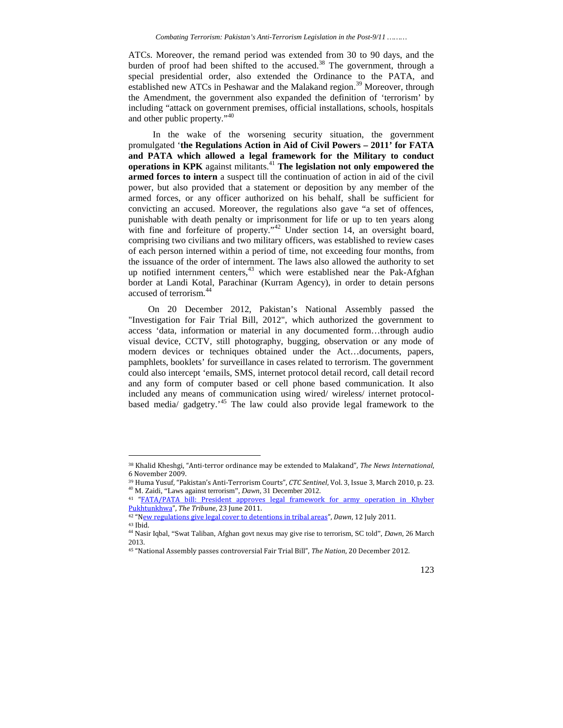ATCs. Moreover, the remand period was extended from 30 to 90 days, and the burden of proof had been shifted to the accused.<sup>38</sup> The government, through a special presidential order, also extended the Ordinance to the PATA, and established new ATCs in Peshawar and the Malakand region.<sup>39</sup> Moreover, through the Amendment, the government also expanded the definition of 'terrorism' by including "attack on government premises, official installations, schools, hospitals and other public property."<sup>40</sup>

In the wake of the worsening security situation, the government promulgated '**the Regulations Action in Aid of Civil Powers – 2011' for FATA and PATA which allowed a legal framework for the Military to conduct operations in KPK** against militants.<sup>41</sup> **The legislation not only empowered the armed forces to intern** a suspect till the continuation of action in aid of the civil power, but also provided that a statement or deposition by any member of the armed forces, or any officer authorized on his behalf, shall be sufficient for convicting an accused. Moreover, the regulations also gave "a set of offences, punishable with death penalty or imprisonment for life or up to ten years along with fine and forfeiture of property."<sup>42</sup> Under section 14, an oversight board, comprising two civilians and two military officers, was established to review cases of each person interned within a period of time, not exceeding four months, from the issuance of the order of internment. The laws also allowed the authority to set up notified internment centers,<sup>43</sup> which were established near the Pak-Afghan border at Landi Kotal, Parachinar (Kurram Agency), in order to detain persons accused of terrorism.<sup>44</sup>

On 20 December 2012, Pakistan's National Assembly passed the "Investigation for Fair Trial Bill, 2012", which authorized the government to access 'data, information or material in any documented form…through audio visual device, CCTV, still photography, bugging, observation or any mode of modern devices or techniques obtained under the Act…documents, papers, pamphlets, booklets' for surveillance in cases related to terrorism. The government could also intercept 'emails, SMS, internet protocol detail record, call detail record and any form of computer based or cell phone based communication. It also included any means of communication using wired/ wireless/ internet protocol based media/ gadgetry.'<sup>45</sup> The law could also provide legal framework to the

<sup>45</sup> "National Assembly passes controversial Fair Trial Bill", *The Nation*, 20 December 2012.



<sup>38</sup> Khalid Kheshgi, "Anti-terror ordinance may be extended to Malakand", *The News International*, 6 November 2009.

<sup>39</sup> Huma Yusuf, "Pakistan's Anti-Terrorism Courts", *CTC Sentinel*, Vol. 3, Issue 3, March 2010, p. 23. <sup>40</sup> M. Zaidi, "Laws against terrorism", *Dawn*, 31 December 2012.

<sup>41</sup> "FATA/PATA bill: President approves legal framework for army operation in Khyber Pukhtunkhwa", *The Tribune*, 23 June 2011.

<sup>42</sup> "New regulations give legal cover to detentions in tribal areas", *Dawn*, 12 July 2011.

<sup>43</sup> Ibid. <sup>44</sup> Nasir Iqbal, "Swat Taliban, Afghan govt nexus may give rise to terrorism, SC told", *Dawn*, 26 March 2013.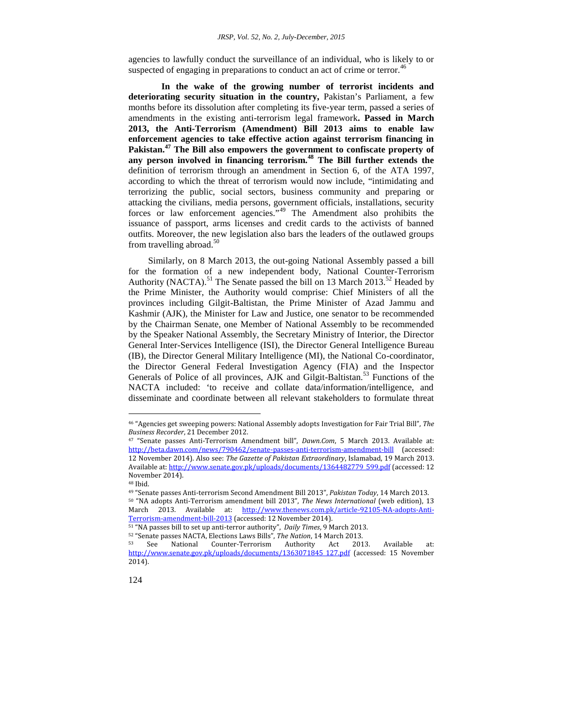agencies to lawfully conduct the surveillance of an individual, who is likely to or suspected of engaging in preparations to conduct an act of crime or terror.<sup>46</sup>

**In the wake of the growing number of terrorist incidents and deteriorating security situation in the country,** Pakistan's Parliament, a few months before its dissolution after completing its five-year term, passed a series of amendments in the existing anti-terrorism legal framework**. Passed in March 2013, the Anti-Terrorism (Amendment) Bill 2013 aims to enable law enforcement agencies to take effective action against terrorism financing in Pakistan.<sup>47</sup> The Bill also empowers the government to confiscate property of any person involved in financing terrorism.<sup>48</sup> The Bill further extends the** definition of terrorism through an amendment in Section 6, of the ATA 1997, according to which the threat of terrorism would now include, "intimidating and terrorizing the public, social sectors, business community and preparing or attacking the civilians, media persons, government officials, installations, security forces or law enforcement agencies."<sup>49</sup> The Amendment also prohibits the issuance of passport, arms licenses and credit cards to the activists of banned outfits. Moreover, the new legislation also bars the leaders of the outlawed groups from travelling abroad. $50$ 

Similarly, on 8 March 2013, the out-going National Assembly passed a bill for the formation of a new independent body, National Counter-Terrorism Authority (NACTA).<sup>51</sup> The Senate passed the bill on 13 March 2013.<sup>52</sup> Headed by the Prime Minister, the Authority would comprise: Chief Ministers of all the provinces including Gilgit-Baltistan, the Prime Minister of Azad Jammu and Kashmir (AJK), the Minister for Law and Justice, one senator to be recommended by the Chairman Senate, one Member of National Assembly to be recommended by the Speaker National Assembly, the Secretary Ministry of Interior, the Director General Inter-Services Intelligence (ISI), the Director General Intelligence Bureau (IB), the Director General Military Intelligence (MI), the National Co-coordinator, the Director General Federal Investigation Agency (FIA) and the Inspector Generals of Police of all provinces, AJK and Gilgit-Baltistan.<sup>53</sup> Functions of the NACTA included: 'to receive and collate data/information/intelligence, and disseminate and coordinate between all relevant stakeholders to formulate threat

<sup>46</sup> "Agencies get sweeping powers: National Assembly adopts Investigation for Fair Trial Bill", *The Business Recorder*, 21 December 2012.

<sup>47</sup> "Senate passes Anti-Terrorism Amendment bill", *Dawn.Com*, 5 March 2013. Available at: http://beta.dawn.com/news/790462/senate-passes-anti-terrorism-amendment-bill (accessed: 12 November 2014). Also see: *The Gazette of Pakistan Extraordinary*, Islamabad, 19 March 2013. Available at: http://www.senate.gov.pk/uploads/documents/1364482779\_599.pdf (accessed: 12 November 2014).

<sup>48</sup> Ibid.

<sup>49</sup> "Senate passes Anti-terrorism Second Amendment Bill 2013", *Pakistan Today*, 14 March 2013. <sup>50</sup> "NA adopts Anti-Terrorism amendment bill 2013", *The News International* (web edition), 13 March 2013. Available at: http://www.thenews.com.pk/article-92105-NA-adopts-Anti-Terrorism-amendment-bill-2013 (accessed: 12 November 2014).

<sup>51</sup> "NA passes bill to set up anti-terror authority", *Daily Times*, 9 March 2013.

<sup>52</sup> "Senate passes NACTA, Elections Laws Bills", *The Nation*, 14 March 2013.

 $53$  See National Counter-Terrorism Authority Act 2013. Available at: http://www.senate.gov.pk/uploads/documents/1363071845\_127.pdf (accessed: 15 November  $2014$ ).

<sup>124</sup>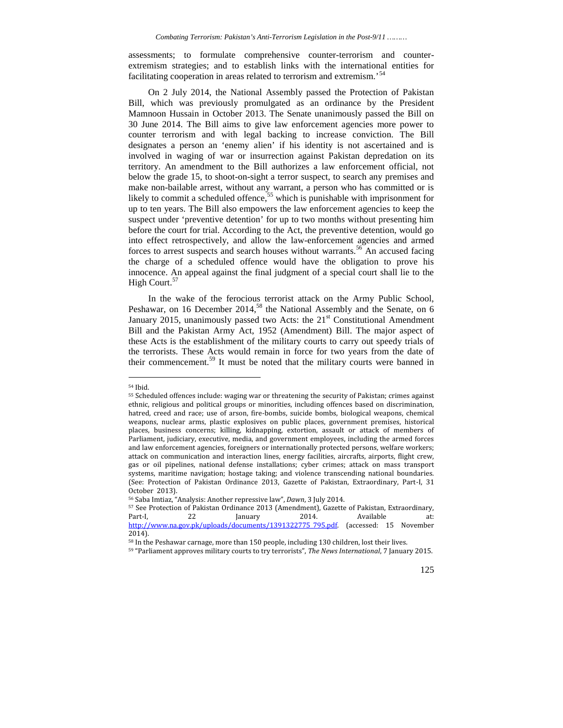assessments; to formulate comprehensive counter-terrorism and counter extremism strategies; and to establish links with the international entities for facilitating cooperation in areas related to terrorism and extremism.<sup>54</sup>

On 2 July 2014, the National Assembly passed the Protection of Pakistan Bill, which was previously promulgated as an ordinance by the President Mamnoon Hussain in October 2013. The Senate unanimously passed the Bill on 30 June 2014. The Bill aims to give law enforcement agencies more power to counter terrorism and with legal backing to increase conviction. The Bill designates a person an 'enemy alien' if his identity is not ascertained and is involved in waging of war or insurrection against Pakistan depredation on its territory. An amendment to the Bill authorizes a law enforcement official, not below the grade 15, to shoot-on-sight a terror suspect, to search any premises and make non-bailable arrest, without any warrant, a person who has committed or is likely to commit a scheduled offence,<sup>55</sup> which is punishable with imprisonment for up to ten years. The Bill also empowers the law enforcement agencies to keep the suspect under 'preventive detention' for up to two months without presenting him before the court for trial. According to the Act, the preventive detention, would go into effect retrospectively, and allow the law-enforcement agencies and armed forces to arrest suspects and search houses without warrants.<sup>56</sup> An accused facing the charge of a scheduled offence would have the obligation to prove his innocence. An appeal against the final judgment of a special court shall lie to the High Court.<sup>57</sup>

In the wake of the ferocious terrorist attack on the Army Public School, Peshawar, on 16 December 2014,<sup>58</sup> the National Assembly and the Senate, on 6 January 2015, unanimously passed two Acts: the  $21<sup>st</sup>$  Constitutional Amendment Bill and the Pakistan Army Act, 1952 (Amendment) Bill. The major aspect of these Acts is the establishment of the military courts to carry out speedy trials of the terrorists. These Acts would remain in force for two years from the date of their commencement.<sup>59</sup> It must be noted that the military courts were banned in

<sup>54</sup> Ibid.

<sup>55</sup> Scheduled offences include: waging war or threatening the security of Pakistan; crimes against ethnic, religious and political groups or minorities, including offences based on discrimination, hatred, creed and race; use of arson, fire-bombs, suicide bombs, biological weapons, chemical weapons, nuclear arms, plastic explosives on public places, government premises, historical places, business concerns; killing, kidnapping, extortion, assault or attack of members of Parliament, judiciary, executive, media, and government employees, including the armed forces and law enforcement agencies, foreigners or internationally protected persons, welfare workers; attack on communication and interaction lines, energy facilities, aircrafts, airports, flight crew, gas or oil pipelines, national defense installations; cyber crimes; attack on mass transport systems, maritime navigation; hostage taking; and violence transcending national boundaries. (See: Protection of Pakistan Ordinance 2013, Gazette of Pakistan, Extraordinary, Part-I, 31 October 2013).

<sup>56</sup> Saba Imtiaz, "Analysis: Another repressive law", *Dawn*, 3 July 2014.

<sup>57</sup> See Protection of Pakistan Ordinance 2013 (Amendment), Gazette of Pakistan, Extraordinary, Part-I, 22 January 2014. Available at: http://www.na.gov.pk/uploads/documents/1391322775\_795.pdf. (accessed: 15 November 2014).

<sup>58</sup> In the Peshawar carnage, more than 150 people, including 130 children, lost their lives.

<sup>59</sup> "Parliament approves military courts to try terrorists", *The News International*, 7 January 2015.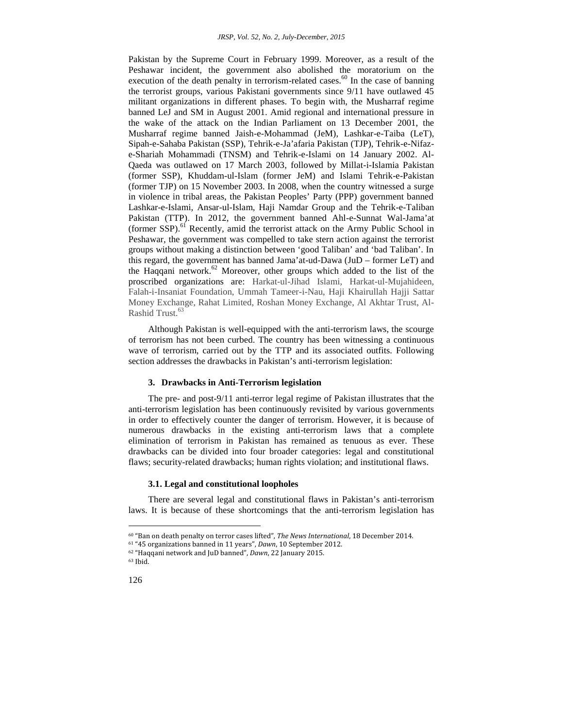Pakistan by the Supreme Court in February 1999. Moreover, as a result of the Peshawar incident, the government also abolished the moratorium on the execution of the death penalty in terrorism-related cases.<sup>60</sup> In the case of banning the terrorist groups, various Pakistani governments since 9/11 have outlawed 45 militant organizations in different phases. To begin with, the Musharraf regime banned LeJ and SM in August 2001. Amid regional and international pressure in the wake of the attack on the Indian Parliament on 13 December 2001, the Musharraf regime banned Jaish-e-Mohammad (JeM), Lashkar-e-Taiba (LeT), Sipah-e-Sahaba Pakistan (SSP), Tehrik-e-Ja'afaria Pakistan (TJP), Tehrik-e-Nifaz e-Shariah Mohammadi (TNSM) and Tehrik-e-Islami on 14 January 2002. Al- Qaeda was outlawed on 17 March 2003, followed by Millat-i-Islamia Pakistan (former SSP), Khuddam-ul-Islam (former JeM) and Islami Tehrik-e-Pakistan (former TJP) on 15 November 2003. In 2008, when the country witnessed a surge in violence in tribal areas, the Pakistan Peoples' Party (PPP) government banned Lashkar-e-Islami, Ansar-ul-Islam, Haji Namdar Group and the Tehrik-e-Taliban Pakistan (TTP). In 2012, the government banned Ahl-e-Sunnat Wal-Jama'at (former SSP).<sup>61</sup> Recently, amid the terrorist attack on the Army Public School in Peshawar, the government was compelled to take stern action against the terrorist groups without making a distinction between 'good Taliban' and 'bad Taliban'. In this regard, the government has banned Jama'at-ud-Dawa (JuD – former LeT) and the Haqqani network.<sup>62</sup> Moreover, other groups which added to the list of the proscribed organizations are: Harkat-ul-Jihad Islami, Harkat-ul-Mujahideen, Falah-i-Insaniat Foundation, Ummah Tameer-i-Nau, Haji Khairullah Hajji Sattar Money Exchange, Rahat Limited, Roshan Money Exchange, Al Akhtar Trust, Al- Rashid Trust.<sup>63</sup>

Although Pakistan is well-equipped with the anti-terrorism laws, the scourge of terrorism has not been curbed. The country has been witnessing a continuous wave of terrorism, carried out by the TTP and its associated outfits. Following section addresses the drawbacks in Pakistan's anti-terrorism legislation:

#### **3. Drawbacks in Anti-Terrorism legislation**

The pre- and post-9/11 anti-terror legal regime of Pakistan illustrates that the anti-terrorism legislation has been continuously revisited by various governments in order to effectively counter the danger of terrorism. However, it is because of numerous drawbacks in the existing anti-terrorism laws that a complete elimination of terrorism in Pakistan has remained as tenuous as ever. These drawbacks can be divided into four broader categories: legal and constitutional flaws; security-related drawbacks; human rights violation; and institutional flaws.

### **3.1. Legal and constitutional loopholes**

There are several legal and constitutional flaws in Pakistan's anti-terrorism laws. It is because of these shortcomings that the anti-terrorism legislation has

<sup>60</sup> "Ban on death penalty on terror cases lifted", *The News International*, 18 December 2014.

<sup>61</sup> "45 organizations banned in 11 years", *Dawn*, 10 September 2012.

<sup>62</sup> "Haqqani network and JuD banned", *Dawn*, 22 January 2015.

<sup>63</sup> Ibid.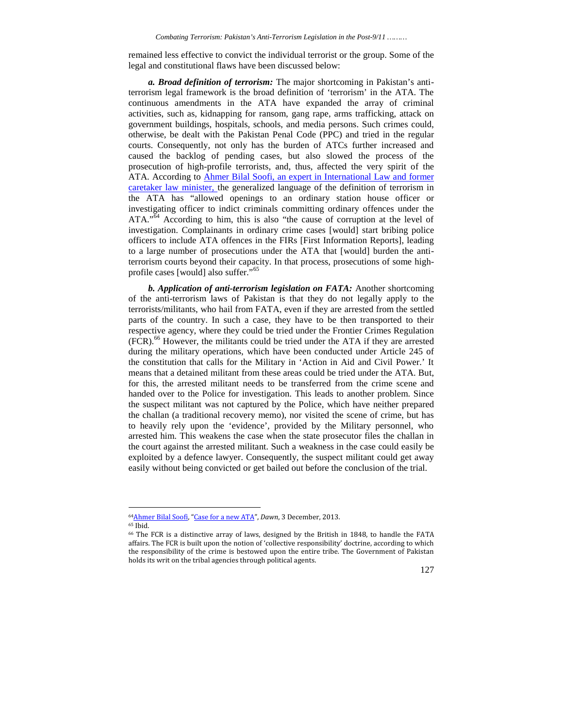remained less effective to convict the individual terrorist or the group. Some of the legal and constitutional flaws have been discussed below:

*a. Broad definition of terrorism:* The major shortcoming in Pakistan's antiterrorism legal framework is the broad definition of 'terrorism' in the ATA. The continuous amendments in the ATA have expanded the array of criminal activities, such as, kidnapping for ransom, gang rape, arms trafficking, attack on government buildings, hospitals, schools, and media persons. Such crimes could, otherwise, be dealt with the Pakistan Penal Code (PPC) and tried in the regular courts. Consequently, not only has the burden of ATCs further increased and caused the backlog of pending cases, but also slowed the process of the prosecution of high-profile terrorists, and, thus, affected the very spirit of the ATA. According to Ahmer Bilal Soofi, an expert in International Law and former caretaker law minister, the generalized language of the definition of terrorism in the ATA has "allowed openings to an ordinary station house officer or investigating officer to indict criminals committing ordinary offences under the ATA."<sup>64</sup> According to him, this is also "the cause of corruption at the level of investigation. Complainants in ordinary crime cases [would] start bribing police officers to include ATA offences in the FIRs [First Information Reports], leading to a large number of prosecutions under the ATA that [would] burden the antiterrorism courts beyond their capacity. In that process, prosecutions of some high profile cases [would] also suffer."<sup>65</sup>

*b. Application of anti-terrorism legislation on FATA:* Another shortcoming of the anti-terrorism laws of Pakistan is that they do not legally apply to the terrorists/militants, who hail from FATA, even if they are arrested from the settled parts of the country. In such a case, they have to be then transported to their respective agency, where they could be tried under the Frontier Crimes Regulation (FCR).<sup>66</sup> However, the militants could be tried under the ATA if they are arrested during the military operations, which have been conducted under Article 245 of the constitution that calls for the Military in 'Action in Aid and Civil Power.' It means that a detained militant from these areas could be tried under the ATA. But, for this, the arrested militant needs to be transferred from the crime scene and handed over to the Police for investigation. This leads to another problem. Since the suspect militant was not captured by the Police, which have neither prepared the challan (a traditional recovery memo), nor visited the scene of crime, but has to heavily rely upon the 'evidence', provided by the Military personnel, who arrested him. This weakens the case when the state prosecutor files the challan in the court against the arrested militant. Such a weakness in the case could easily be exploited by a defence lawyer. Consequently, the suspect militant could get away easily without being convicted or get bailed out before the conclusion of the trial.

<sup>66</sup> The FCR is a distinctive array of laws, designed by the British in 1848, to handle the FATA affairs. The FCR is built upon the notion of 'collective responsibility' doctrine, according to which the responsibility of the crime is bestowed upon the entire tribe. The Government of Pakistan holds its writ on the tribal agencies through political agents.



<sup>64</sup>Ahmer Bilal Soofi, "Case for a new ATA", *Dawn*, 3 December, 2013. <sup>65</sup> Ibid.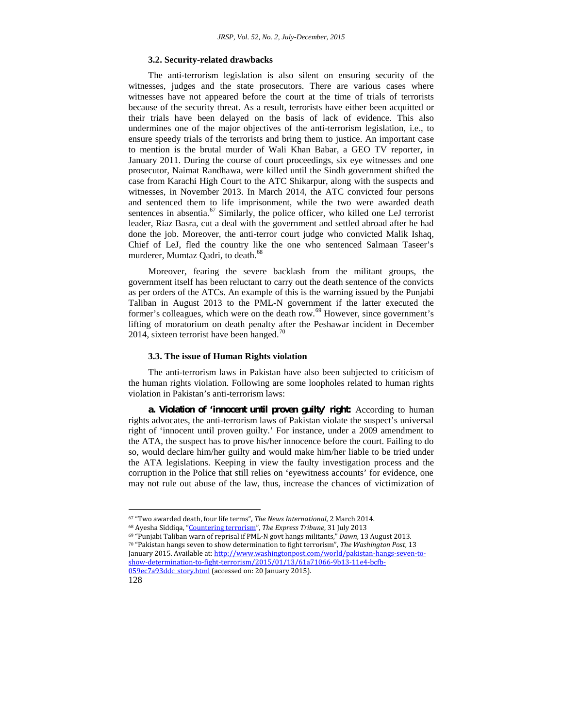#### **3.2. Security-related drawbacks**

The anti-terrorism legislation is also silent on ensuring security of the witnesses, judges and the state prosecutors. There are various cases where witnesses have not appeared before the court at the time of trials of terrorists because of the security threat. As a result, terrorists have either been acquitted or their trials have been delayed on the basis of lack of evidence. This also undermines one of the major objectives of the anti-terrorism legislation, i.e., to ensure speedy trials of the terrorists and bring them to justice. An important case to mention is the brutal murder of Wali Khan Babar, a GEO TV reporter, in January 2011. During the course of court proceedings, six eye witnesses and one prosecutor, Naimat Randhawa, were killed until the Sindh government shifted the case from Karachi High Court to the ATC Shikarpur, along with the suspects and witnesses, in November 2013. In March 2014, the ATC convicted four persons and sentenced them to life imprisonment, while the two were awarded death sentences in absentia. $^{67}$  Similarly, the police officer, who killed one LeJ terrorist leader, Riaz Basra, cut a deal with the government and settled abroad after he had done the job. Moreover, the anti-terror court judge who convicted Malik Ishaq, Chief of LeJ, fled the country like the one who sentenced Salmaan Taseer's murderer, Mumtaz Qadri, to death.<sup>68</sup>

Moreover, fearing the severe backlash from the militant groups, the government itself has been reluctant to carry out the death sentence of the convicts as per orders of the ATCs. An example of this is the warning issued by the Punjabi Taliban in August 2013 to the PML-N government if the latter executed the former's colleagues, which were on the death row.<sup>69</sup> However, since government's lifting of moratorium on death penalty after the Peshawar incident in December 2014, sixteen terrorist have been hanged.<sup>70</sup>

#### **3.3. The issue of Human Rights violation**

The anti-terrorism laws in Pakistan have also been subjected to criticism of the human rights violation. Following are some loopholes related to human rights violation in Pakistan's anti-terrorism laws:

*a. Violation of 'innocent until proven guilty' right:* According to human rights advocates, the anti-terrorism laws of Pakistan violate the suspect's universal right of 'innocent until proven guilty.' For instance, under a 2009 amendment to the ATA, the suspect has to prove his/her innocence before the court. Failing to do so, would declare him/her guilty and would make him/her liable to be tried under the ATA legislations. Keeping in view the faulty investigation process and the corruption in the Police that still relies on 'eyewitness accounts' for evidence, one may not rule out abuse of the law, thus, increase the chances of victimization of

<sup>70</sup> "Pakistan hangs seven to show determination to fight terrorism", *The Washington Post*, 13 January 2015. Available at: http://www.washingtonpost.com/world/pakistan-hangs-seven-to show-determination-to-fight-terrorism/2015/01/13/61a71066-9b13-11e4-bcfb- 059ec7a93ddc\_story.html (accessed on: 20 January 2015).



<sup>67</sup> "Two awarded death, four life terms", *The News International*, 2 March 2014.

<sup>68</sup> Ayesha Siddiqa, "Countering terrorism", *The Express Tribune*, 31 July 2013

<sup>69</sup> "Punjabi Taliban warn of reprisal if PML-N govt hangs militants," *Dawn*, 13 August 2013.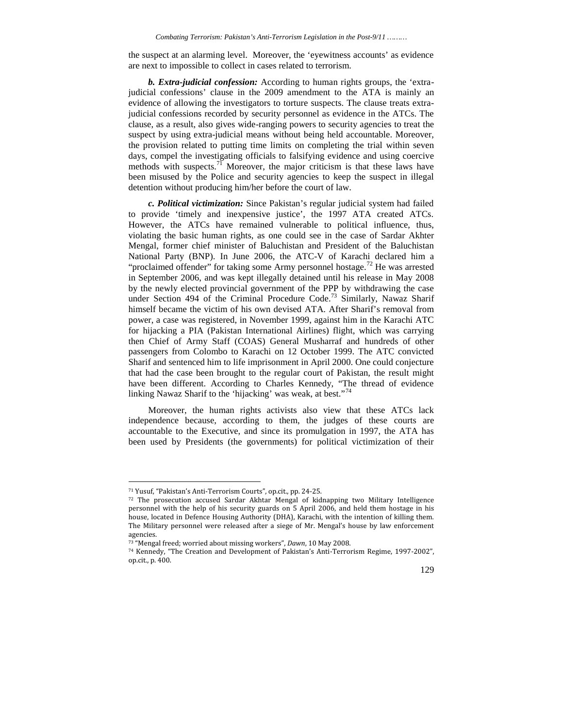the suspect at an alarming level. Moreover, the 'eyewitness accounts' as evidence are next to impossible to collect in cases related to terrorism.

*b. Extra-judicial confession:* According to human rights groups, the 'extrajudicial confessions' clause in the 2009 amendment to the ATA is mainly an evidence of allowing the investigators to torture suspects. The clause treats extrajudicial confessions recorded by security personnel as evidence in the ATCs. The clause, as a result, also gives wide-ranging powers to security agencies to treat the suspect by using extra-judicial means without being held accountable. Moreover, the provision related to putting time limits on completing the trial within seven days, compel the investigating officials to falsifying evidence and using coercive methods with suspects.<sup>71</sup> Moreover, the major criticism is that these laws have been misused by the Police and security agencies to keep the suspect in illegal detention without producing him/her before the court of law.

*c. Political victimization:* Since Pakistan's regular judicial system had failed to provide 'timely and inexpensive justice', the 1997 ATA created ATCs. However, the ATCs have remained vulnerable to political influence, thus, violating the basic human rights, as one could see in the case of Sardar Akhter Mengal, former chief minister of Baluchistan and President of the Baluchistan National Party (BNP). In June 2006, the ATC-V of Karachi declared him a "proclaimed offender" for taking some Army personnel hostage.<sup>72</sup> He was arrested in September 2006, and was kept illegally detained until his release in May 2008 by the newly elected provincial government of the PPP by withdrawing the case under Section 494 of the Criminal Procedure Code.<sup>73</sup> Similarly, Nawaz Sharif himself became the victim of his own devised ATA. After Sharif's removal from power, a case was registered, in November 1999, against him in the Karachi ATC for hijacking a PIA (Pakistan International Airlines) flight, which was carrying then Chief of Army Staff (COAS) General Musharraf and hundreds of other passengers from Colombo to Karachi on 12 October 1999. The ATC convicted Sharif and sentenced him to life imprisonment in April 2000. One could conjecture that had the case been brought to the regular court of Pakistan, the result might have been different. According to Charles Kennedy, "The thread of evidence linking Nawaz Sharif to the 'hijacking' was weak, at best."<sup>74</sup>

Moreover, the human rights activists also view that these ATCs lack independence because, according to them, the judges of these courts are accountable to the Executive, and since its promulgation in 1997, the ATA has been used by Presidents (the governments) for political victimization of their

<sup>74</sup> Kennedy, "The Creation and Development of Pakistan's Anti-Terrorism Regime, 1997-2002", op.cit., p. 400.



<sup>71</sup> Yusuf, "Pakistan's Anti-Terrorism Courts", op.cit., pp. 24-25.

<sup>72</sup> The prosecution accused Sardar Akhtar Mengal of kidnapping two Military Intelligence personnel with the help of his security guards on 5 April 2006, and held them hostage in his house, located in Defence Housing Authority (DHA), Karachi, with the intention of killing them. The Military personnel were released after a siege of Mr. Mengal's house by law enforcement agencies.

<sup>73</sup> "Mengal freed; worried about missing workers", *Dawn*, 10 May 2008.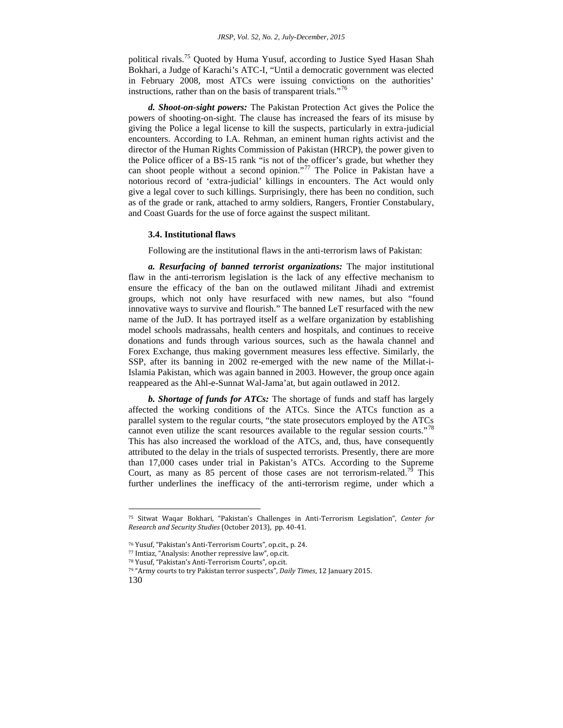political rivals.<sup>75</sup> Quoted by Huma Yusuf, according to Justice Syed Hasan Shah Bokhari, a Judge of Karachi's ATC-I, "Until a democratic government was elected in February 2008, most ATCs were issuing convictions on the authorities' instructions, rather than on the basis of transparent trials."<sup>76</sup>

*d. Shoot-on-sight powers:* The Pakistan Protection Act gives the Police the powers of shooting-on-sight. The clause has increased the fears of its misuse by giving the Police a legal license to kill the suspects, particularly in extra-judicial encounters. According to I.A. Rehman, an eminent human rights activist and the director of the Human Rights Commission of Pakistan (HRCP), the power given to the Police officer of a BS-15 rank "is not of the officer's grade, but whether they can shoot people without a second opinion."<sup>77</sup> The Police in Pakistan have a notorious record of 'extra-judicial' killings in encounters. The Act would only give a legal cover to such killings. Surprisingly, there has been no condition, such as of the grade or rank, attached to army soldiers, Rangers, Frontier Constabulary, and Coast Guards for the use of force against the suspect militant.

#### **3.4. Institutional flaws**

Following are the institutional flaws in the anti-terrorism laws of Pakistan:

*a. Resurfacing of banned terrorist organizations:* The major institutional flaw in the anti-terrorism legislation is the lack of any effective mechanism to ensure the efficacy of the ban on the outlawed militant Jihadi and extremist groups, which not only have resurfaced with new names, but also "found innovative ways to survive and flourish." The banned LeT resurfaced with the new name of the JuD. It has portrayed itself as a welfare organization by establishing model schools madrassahs, health centers and hospitals, and continues to receive donations and funds through various sources, such as the hawala channel and Forex Exchange, thus making government measures less effective. Similarly, the SSP, after its banning in 2002 re-emerged with the new name of the Millat-i-Islamia Pakistan, which was again banned in 2003. However, the group once again reappeared as the Ahl-e-Sunnat Wal-Jama'at, but again outlawed in 2012.

*b. Shortage of funds for ATCs:* The shortage of funds and staff has largely affected the working conditions of the ATCs. Since the ATCs function as a parallel system to the regular courts, "the state prosecutors employed by the ATCs cannot even utilize the scant resources available to the regular session courts."<sup>78</sup> This has also increased the workload of the ATCs, and, thus, have consequently attributed to the delay in the trials of suspected terrorists. Presently, there are more than 17,000 cases under trial in Pakistan's ATCs. According to the Supreme Court, as many as 85 percent of those cases are not terrorism-related.<sup>79</sup> This further underlines the inefficacy of the anti-terrorism regime, under which a

<sup>75</sup> Sitwat Waqar Bokhari, "Pakistan's Challenges in Anti-Terrorism Legislation", *Center for Research and Security Studies* (October 2013), pp. 40-41.

<sup>76</sup> Yusuf, "Pakistan's Anti-Terrorism Courts", op.cit., p. 24.

<sup>77</sup> Imtiaz, "Analysis: Another repressive law", op.cit.

<sup>78</sup> Yusuf, "Pakistan's Anti-Terrorism Courts", op.cit.

<sup>79</sup> "Army courts to try Pakistan terror suspects", *Daily Times*, 12 January 2015.

<sup>130</sup>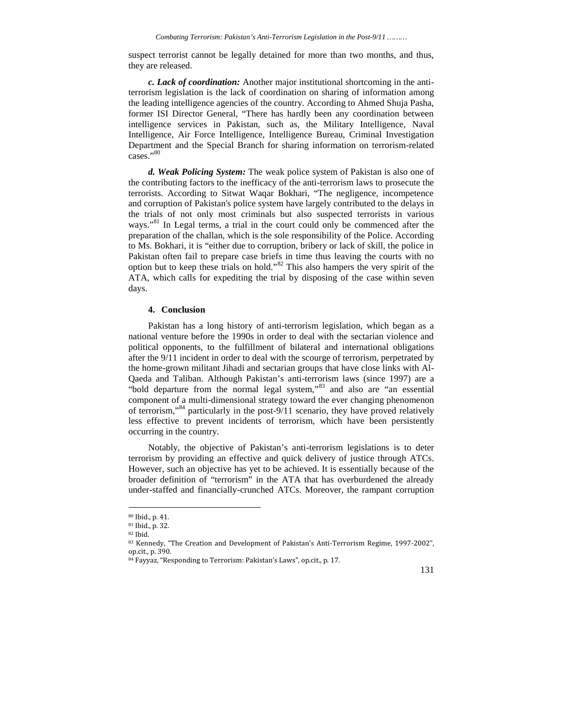suspect terrorist cannot be legally detained for more than two months, and thus, they are released.

*c. Lack of coordination:* Another major institutional shortcoming in the antiterrorism legislation is the lack of coordination on sharing of information among the leading intelligence agencies of the country. According to Ahmed Shuja Pasha, former ISI Director General, "There has hardly been any coordination between intelligence services in Pakistan, such as, the Military Intelligence, Naval Intelligence, Air Force Intelligence, Intelligence Bureau, Criminal Investigation Department and the Special Branch for sharing information on terrorism-related cases."80

*d. Weak Policing System:* The weak police system of Pakistan is also one of the contributing factors to the inefficacy of the anti-terrorism laws to prosecute the terrorists. According to Sitwat Waqar Bokhari, "The negligence, incompetence and corruption of Pakistan's police system have largely contributed to the delays in the trials of not only most criminals but also suspected terrorists in various ways."<sup>81</sup> In Legal terms, a trial in the court could only be commenced after the preparation of the challan, which is the sole responsibility of the Police. According to Ms. Bokhari, it is "either due to corruption, bribery or lack of skill, the police in Pakistan often fail to prepare case briefs in time thus leaving the courts with no option but to keep these trials on hold."<sup>82</sup> This also hampers the very spirit of the ATA, which calls for expediting the trial by disposing of the case within seven days.

#### **4. Conclusion**

Pakistan has a long history of anti-terrorism legislation, which began as a national venture before the 1990s in order to deal with the sectarian violence and political opponents, to the fulfillment of bilateral and international obligations after the 9/11 incident in order to deal with the scourge of terrorism, perpetrated by the home-grown militant Jihadi and sectarian groups that have close links with Al- Qaeda and Taliban. Although Pakistan's anti-terrorism laws (since 1997) are a "bold departure from the normal legal system,"<sup>83</sup> and also are "an essential component of a multi-dimensional strategy toward the ever changing phenomenon of terrorism,"<sup>84</sup> particularly in the post-9/11 scenario, they have proved relatively less effective to prevent incidents of terrorism, which have been persistently occurring in the country.

Notably, the objective of Pakistan's anti-terrorism legislations is to deter terrorism by providing an effective and quick delivery of justice through ATCs. However, such an objective has yet to be achieved. It is essentially because of the broader definition of "terrorism" in the ATA that has overburdened the already under-staffed and financially-crunched ATCs. Moreover, the rampant corruption



<sup>80</sup> Ibid., p. 41.

<sup>81</sup> Ibid., p. 32.

<sup>82</sup> Ibid.

<sup>83</sup> Kennedy, "The Creation and Development of Pakistan's Anti-Terrorism Regime, 1997-2002", op.cit., p. 390.

<sup>84</sup> Fayyaz, "Responding to Terrorism: Pakistan's Laws", op.cit., p. 17.